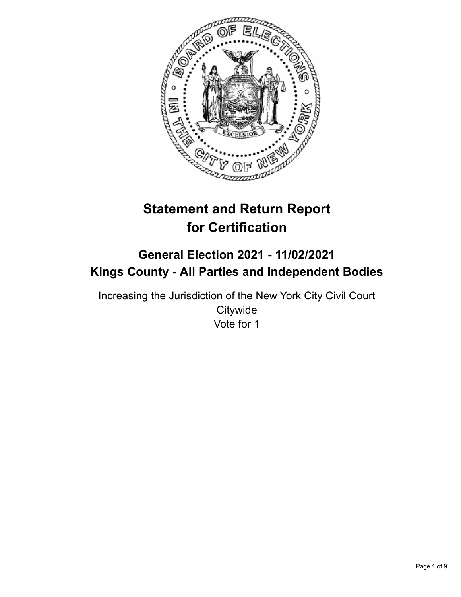

# **Statement and Return Report for Certification**

## **General Election 2021 - 11/02/2021 Kings County - All Parties and Independent Bodies**

Increasing the Jurisdiction of the New York City Civil Court **Citywide** Vote for 1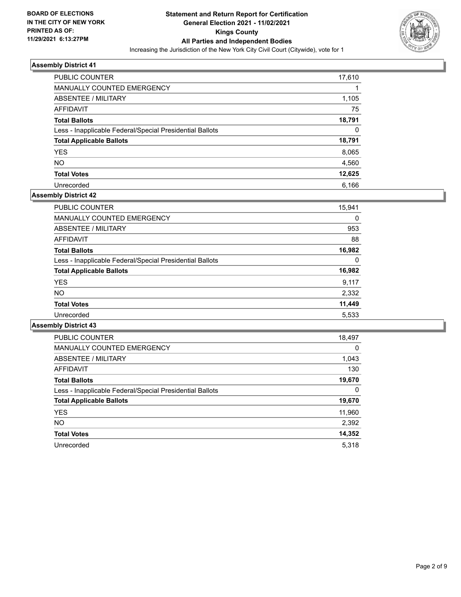

| PUBLIC COUNTER                                           | 17,610 |
|----------------------------------------------------------|--------|
| MANUALLY COUNTED EMERGENCY                               |        |
| ABSENTEE / MILITARY                                      | 1,105  |
| AFFIDAVIT                                                | 75     |
| <b>Total Ballots</b>                                     | 18,791 |
| Less - Inapplicable Federal/Special Presidential Ballots | 0      |
| <b>Total Applicable Ballots</b>                          | 18,791 |
| <b>YES</b>                                               | 8,065  |
| NO.                                                      | 4,560  |
| <b>Total Votes</b>                                       | 12,625 |
| Unrecorded                                               | 6.166  |

## **Assembly District 42**

| <b>PUBLIC COUNTER</b>                                    | 15,941 |
|----------------------------------------------------------|--------|
| <b>MANUALLY COUNTED EMERGENCY</b>                        | 0      |
| ABSENTEE / MILITARY                                      | 953    |
| AFFIDAVIT                                                | 88     |
| <b>Total Ballots</b>                                     | 16,982 |
| Less - Inapplicable Federal/Special Presidential Ballots | 0      |
| <b>Total Applicable Ballots</b>                          | 16,982 |
| <b>YES</b>                                               | 9,117  |
| <b>NO</b>                                                | 2,332  |
| <b>Total Votes</b>                                       | 11,449 |
| Unrecorded                                               | 5,533  |

| <b>PUBLIC COUNTER</b>                                    | 18,497   |
|----------------------------------------------------------|----------|
| <b>MANUALLY COUNTED EMERGENCY</b>                        | $\Omega$ |
| ABSENTEE / MILITARY                                      | 1,043    |
| <b>AFFIDAVIT</b>                                         | 130      |
| <b>Total Ballots</b>                                     | 19,670   |
| Less - Inapplicable Federal/Special Presidential Ballots | 0        |
| <b>Total Applicable Ballots</b>                          | 19,670   |
| <b>YES</b>                                               | 11,960   |
| <b>NO</b>                                                | 2,392    |
| <b>Total Votes</b>                                       | 14,352   |
| Unrecorded                                               | 5.318    |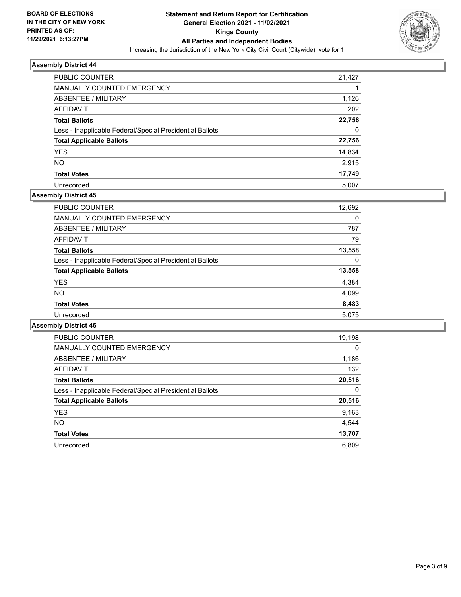

| <b>PUBLIC COUNTER</b>                                    | 21,427 |
|----------------------------------------------------------|--------|
| <b>MANUALLY COUNTED EMERGENCY</b>                        |        |
| ABSENTEE / MILITARY                                      | 1,126  |
| AFFIDAVIT                                                | 202    |
| <b>Total Ballots</b>                                     | 22,756 |
| Less - Inapplicable Federal/Special Presidential Ballots | 0      |
| <b>Total Applicable Ballots</b>                          | 22,756 |
| <b>YES</b>                                               | 14,834 |
| <b>NO</b>                                                | 2,915  |
| <b>Total Votes</b>                                       | 17,749 |
| Unrecorded                                               | 5.007  |

## **Assembly District 45**

| <b>PUBLIC COUNTER</b>                                    | 12,692 |
|----------------------------------------------------------|--------|
| <b>MANUALLY COUNTED EMERGENCY</b>                        | 0      |
| ABSENTEE / MILITARY                                      | 787    |
| AFFIDAVIT                                                | 79     |
| <b>Total Ballots</b>                                     | 13,558 |
| Less - Inapplicable Federal/Special Presidential Ballots | 0      |
| <b>Total Applicable Ballots</b>                          | 13,558 |
| <b>YES</b>                                               | 4,384  |
| <b>NO</b>                                                | 4,099  |
| <b>Total Votes</b>                                       | 8,483  |
| Unrecorded                                               | 5,075  |
|                                                          |        |

| <b>PUBLIC COUNTER</b>                                    | 19,198   |
|----------------------------------------------------------|----------|
| <b>MANUALLY COUNTED EMERGENCY</b>                        | $\Omega$ |
| ABSENTEE / MILITARY                                      | 1,186    |
| <b>AFFIDAVIT</b>                                         | 132      |
| <b>Total Ballots</b>                                     | 20,516   |
| Less - Inapplicable Federal/Special Presidential Ballots | $\Omega$ |
| <b>Total Applicable Ballots</b>                          | 20,516   |
| <b>YES</b>                                               | 9,163    |
| NO.                                                      | 4,544    |
| <b>Total Votes</b>                                       | 13,707   |
| Unrecorded                                               | 6.809    |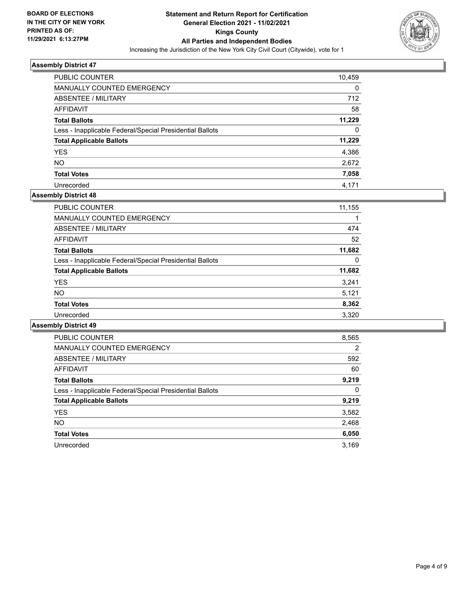

| PUBLIC COUNTER                                           | 10,459 |
|----------------------------------------------------------|--------|
| MANUALLY COUNTED EMERGENCY                               | 0      |
| ABSENTEE / MILITARY                                      | 712    |
| AFFIDAVIT                                                | 58     |
| <b>Total Ballots</b>                                     | 11,229 |
| Less - Inapplicable Federal/Special Presidential Ballots | 0      |
| <b>Total Applicable Ballots</b>                          | 11,229 |
| <b>YES</b>                                               | 4,386  |
| <b>NO</b>                                                | 2,672  |
| <b>Total Votes</b>                                       | 7,058  |
| Unrecorded                                               | 4.171  |

## **Assembly District 48**

| <b>PUBLIC COUNTER</b>                                    | 11,155 |
|----------------------------------------------------------|--------|
| <b>MANUALLY COUNTED EMERGENCY</b>                        |        |
| ABSENTEE / MILITARY                                      | 474    |
| AFFIDAVIT                                                | 52     |
| <b>Total Ballots</b>                                     | 11,682 |
| Less - Inapplicable Federal/Special Presidential Ballots | 0      |
| <b>Total Applicable Ballots</b>                          | 11,682 |
| <b>YES</b>                                               | 3,241  |
| <b>NO</b>                                                | 5,121  |
| <b>Total Votes</b>                                       | 8,362  |
| Unrecorded                                               | 3.320  |

| <b>PUBLIC COUNTER</b>                                    | 8,565 |
|----------------------------------------------------------|-------|
| <b>MANUALLY COUNTED EMERGENCY</b>                        | 2     |
| ABSENTEE / MILITARY                                      | 592   |
| <b>AFFIDAVIT</b>                                         | 60    |
| <b>Total Ballots</b>                                     | 9,219 |
| Less - Inapplicable Federal/Special Presidential Ballots | 0     |
| <b>Total Applicable Ballots</b>                          | 9,219 |
| <b>YES</b>                                               | 3,582 |
| <b>NO</b>                                                | 2,468 |
| <b>Total Votes</b>                                       | 6,050 |
| Unrecorded                                               | 3.169 |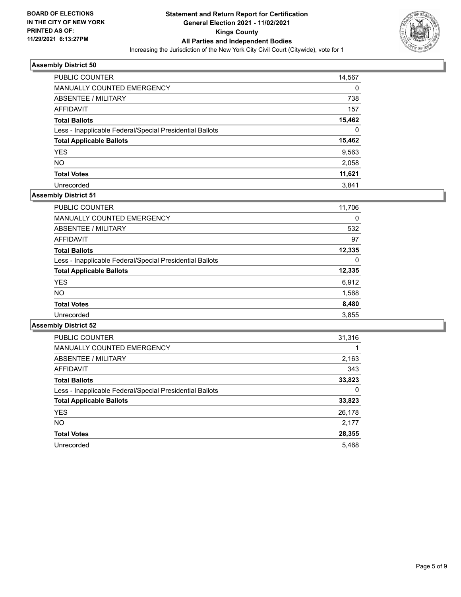

| PUBLIC COUNTER                                           | 14,567 |
|----------------------------------------------------------|--------|
| <b>MANUALLY COUNTED EMERGENCY</b>                        | 0      |
| ABSENTEE / MILITARY                                      | 738    |
| AFFIDAVIT                                                | 157    |
| <b>Total Ballots</b>                                     | 15,462 |
| Less - Inapplicable Federal/Special Presidential Ballots | 0      |
| <b>Total Applicable Ballots</b>                          | 15,462 |
| <b>YES</b>                                               | 9,563  |
| <b>NO</b>                                                | 2,058  |
| <b>Total Votes</b>                                       | 11,621 |
| Unrecorded                                               | 3.841  |

#### **Assembly District 51**

| 11,706 |
|--------|
| 0      |
| 532    |
| 97     |
| 12,335 |
| 0      |
| 12,335 |
| 6,912  |
| 1,568  |
| 8,480  |
| 3,855  |
|        |

| <b>PUBLIC COUNTER</b>                                    | 31,316 |
|----------------------------------------------------------|--------|
| <b>MANUALLY COUNTED EMERGENCY</b>                        |        |
| ABSENTEE / MILITARY                                      | 2,163  |
| <b>AFFIDAVIT</b>                                         | 343    |
| <b>Total Ballots</b>                                     | 33,823 |
| Less - Inapplicable Federal/Special Presidential Ballots | 0      |
| <b>Total Applicable Ballots</b>                          | 33,823 |
| <b>YES</b>                                               | 26,178 |
| <b>NO</b>                                                | 2.177  |
| <b>Total Votes</b>                                       | 28,355 |
| Unrecorded                                               | 5.468  |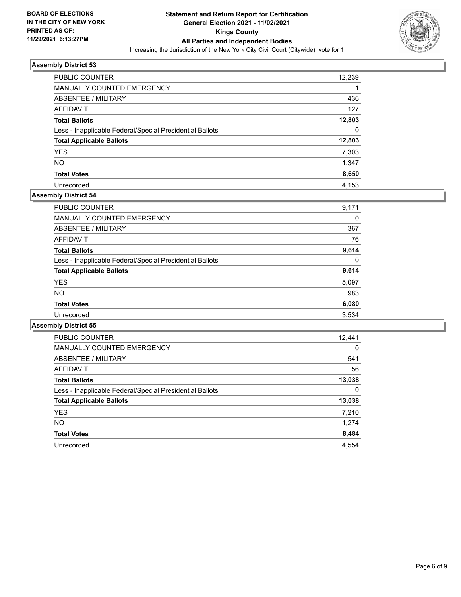

| <b>PUBLIC COUNTER</b>                                    | 12,239 |
|----------------------------------------------------------|--------|
| <b>MANUALLY COUNTED EMERGENCY</b>                        |        |
| ABSENTEE / MILITARY                                      | 436    |
| AFFIDAVIT                                                | 127    |
| <b>Total Ballots</b>                                     | 12,803 |
| Less - Inapplicable Federal/Special Presidential Ballots | 0      |
| <b>Total Applicable Ballots</b>                          | 12,803 |
| <b>YES</b>                                               | 7,303  |
| <b>NO</b>                                                | 1,347  |
| <b>Total Votes</b>                                       | 8,650  |
| Unrecorded                                               | 4.153  |

#### **Assembly District 54**

| <b>PUBLIC COUNTER</b>                                    | 9,171 |
|----------------------------------------------------------|-------|
| <b>MANUALLY COUNTED EMERGENCY</b>                        | 0     |
| ABSENTEE / MILITARY                                      | 367   |
| <b>AFFIDAVIT</b>                                         | 76    |
| <b>Total Ballots</b>                                     | 9,614 |
| Less - Inapplicable Federal/Special Presidential Ballots | 0     |
| <b>Total Applicable Ballots</b>                          | 9,614 |
| <b>YES</b>                                               | 5,097 |
| NO.                                                      | 983   |
| <b>Total Votes</b>                                       | 6,080 |
| Unrecorded                                               | 3.534 |

| <b>PUBLIC COUNTER</b>                                    | 12,441   |
|----------------------------------------------------------|----------|
| <b>MANUALLY COUNTED EMERGENCY</b>                        | $\Omega$ |
| ABSENTEE / MILITARY                                      | 541      |
| AFFIDAVIT                                                | 56       |
| <b>Total Ballots</b>                                     | 13,038   |
| Less - Inapplicable Federal/Special Presidential Ballots | 0        |
| <b>Total Applicable Ballots</b>                          | 13,038   |
| <b>YES</b>                                               | 7,210    |
| NO.                                                      | 1,274    |
| <b>Total Votes</b>                                       | 8,484    |
| Unrecorded                                               | 4.554    |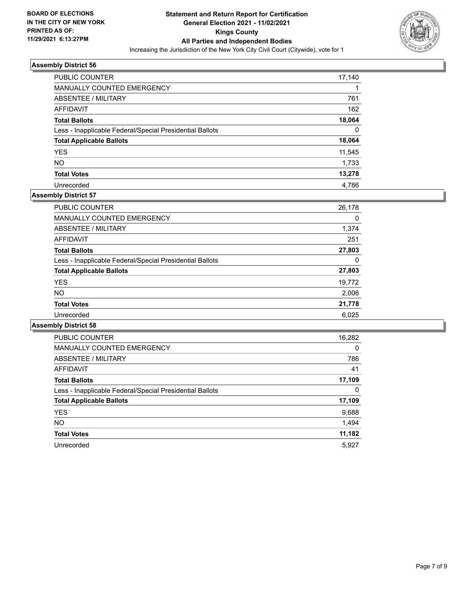

| <b>PUBLIC COUNTER</b>                                    | 17,140   |
|----------------------------------------------------------|----------|
| <b>MANUALLY COUNTED EMERGENCY</b>                        |          |
| ABSENTEE / MILITARY                                      | 761      |
| AFFIDAVIT                                                | 162      |
| <b>Total Ballots</b>                                     | 18,064   |
| Less - Inapplicable Federal/Special Presidential Ballots | $\Omega$ |
| <b>Total Applicable Ballots</b>                          | 18,064   |
| <b>YES</b>                                               | 11,545   |
| <b>NO</b>                                                | 1,733    |
| <b>Total Votes</b>                                       | 13,278   |
| Unrecorded                                               | 4.786    |

## **Assembly District 57**

| <b>PUBLIC COUNTER</b>                                    | 26,178 |
|----------------------------------------------------------|--------|
| <b>MANUALLY COUNTED EMERGENCY</b>                        | 0      |
| ABSENTEE / MILITARY                                      | 1,374  |
| AFFIDAVIT                                                | 251    |
| <b>Total Ballots</b>                                     | 27,803 |
| Less - Inapplicable Federal/Special Presidential Ballots | 0      |
| <b>Total Applicable Ballots</b>                          | 27,803 |
| <b>YES</b>                                               | 19,772 |
| <b>NO</b>                                                | 2,006  |
| <b>Total Votes</b>                                       | 21,778 |
| Unrecorded                                               | 6.025  |

| <b>PUBLIC COUNTER</b>                                    | 16,282   |
|----------------------------------------------------------|----------|
| MANUALLY COUNTED EMERGENCY                               | $\Omega$ |
| ABSENTEE / MILITARY                                      | 786      |
| AFFIDAVIT                                                | 41       |
| <b>Total Ballots</b>                                     | 17,109   |
| Less - Inapplicable Federal/Special Presidential Ballots | 0        |
| <b>Total Applicable Ballots</b>                          | 17,109   |
| <b>YES</b>                                               | 9,688    |
| NO.                                                      | 1,494    |
| <b>Total Votes</b>                                       | 11,182   |
| Unrecorded                                               | 5.927    |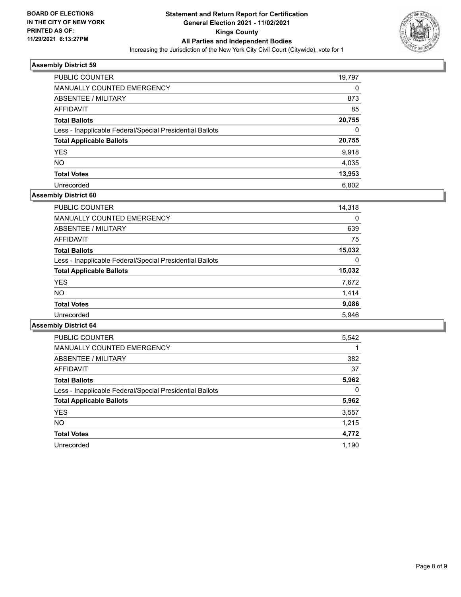

| <b>PUBLIC COUNTER</b>                                    | 19,797 |
|----------------------------------------------------------|--------|
| MANUALLY COUNTED EMERGENCY                               | 0      |
| <b>ABSENTEE / MILITARY</b>                               | 873    |
| AFFIDAVIT                                                | 85     |
| <b>Total Ballots</b>                                     | 20,755 |
| Less - Inapplicable Federal/Special Presidential Ballots | 0      |
| <b>Total Applicable Ballots</b>                          | 20,755 |
| <b>YES</b>                                               | 9,918  |
| <b>NO</b>                                                | 4,035  |
| <b>Total Votes</b>                                       | 13,953 |
| Unrecorded                                               | 6.802  |

#### **Assembly District 60**

| <b>PUBLIC COUNTER</b>                                    | 14,318 |
|----------------------------------------------------------|--------|
| MANUALLY COUNTED EMERGENCY                               | 0      |
| ABSENTEE / MILITARY                                      | 639    |
| <b>AFFIDAVIT</b>                                         | 75     |
| <b>Total Ballots</b>                                     | 15,032 |
| Less - Inapplicable Federal/Special Presidential Ballots | 0      |
| <b>Total Applicable Ballots</b>                          | 15,032 |
| <b>YES</b>                                               | 7,672  |
| NO.                                                      | 1.414  |
| <b>Total Votes</b>                                       | 9,086  |
| Unrecorded                                               | 5.946  |
|                                                          |        |

| <b>PUBLIC COUNTER</b>                                    | 5,542 |
|----------------------------------------------------------|-------|
| <b>MANUALLY COUNTED EMERGENCY</b>                        |       |
| ABSENTEE / MILITARY                                      | 382   |
| <b>AFFIDAVIT</b>                                         | 37    |
| <b>Total Ballots</b>                                     | 5,962 |
| Less - Inapplicable Federal/Special Presidential Ballots | 0     |
| <b>Total Applicable Ballots</b>                          | 5,962 |
| <b>YES</b>                                               | 3,557 |
| <b>NO</b>                                                | 1,215 |
| <b>Total Votes</b>                                       | 4,772 |
| Unrecorded                                               | 1.190 |